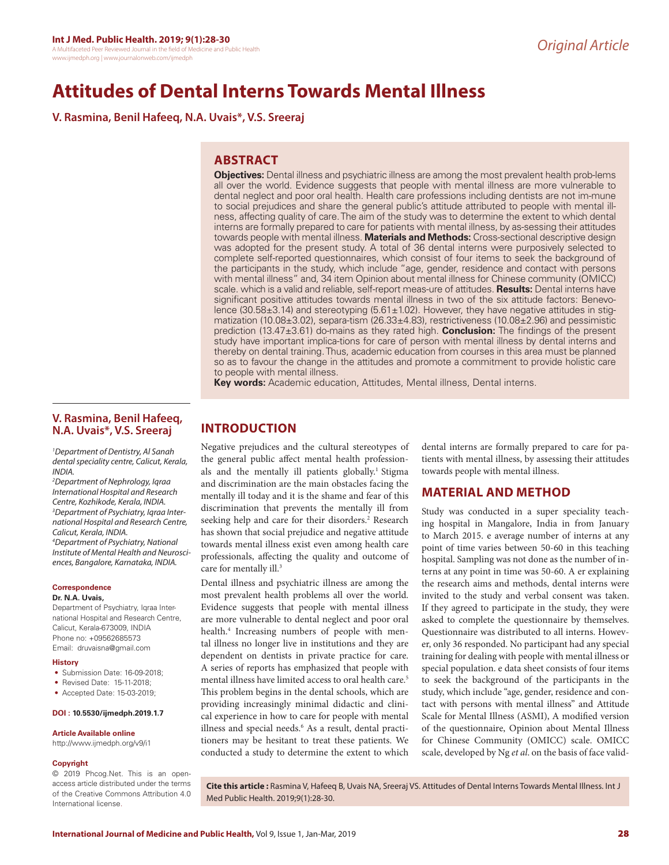# **Attitudes of Dental Interns Towards Mental Illness**

**V. Rasmina, Benil Hafeeq, N.A. Uvais\*, V.S. Sreeraj**

# **ABSTRACT**

**Objectives:** Dental illness and psychiatric illness are among the most prevalent health prob-lems all over the world. Evidence suggests that people with mental illness are more vulnerable to dental neglect and poor oral health. Health care professions including dentists are not im-mune to social prejudices and share the general public's attitude attributed to people with mental illness, affecting quality of care. The aim of the study was to determine the extent to which dental interns are formally prepared to care for patients with mental illness, by as-sessing their attitudes towards people with mental illness. **Materials and Methods:** Cross-sectional descriptive design was adopted for the present study. A total of 36 dental interns were purposively selected to complete self-reported questionnaires, which consist of four items to seek the background of the participants in the study, which include "age, gender, residence and contact with persons with mental illness" and, 34 item Opinion about mental illness for Chinese community (OMICC) scale. which is a valid and reliable, self-report meas-ure of attitudes. **Results:** Dental interns have significant positive attitudes towards mental illness in two of the six attitude factors: Benevolence (30.58 $\pm$ 3.14) and stereotyping (5.61 $\pm$ 1.02). However, they have negative attitudes in stigmatization (10.08±3.02), separa-tism (26.33±4.83), restrictiveness (10.08±2.96) and pessimistic prediction (13.47±3.61) do-mains as they rated high. **Conclusion:** The findings of the present study have important implica-tions for care of person with mental illness by dental interns and thereby on dental training. Thus, academic education from courses in this area must be planned so as to favour the change in the attitudes and promote a commitment to provide holistic care to people with mental illness.

**Key words:** Academic education, Attitudes, Mental illness, Dental interns.

# **V. Rasmina, Benil Hafeeq, N.A. Uvais\*, V.S. Sreeraj**

*1 Department of Dentistry, Al Sanah dental speciality centre, Calicut, Kerala, INDIA.*

*2 Department of Nephrology, Iqraa International Hospital and Research Centre, Kozhikode, Kerala, INDIA. 3 Department of Psychiatry, Iqraa International Hospital and Research Centre, Calicut, Kerala, INDIA. 4 Department of Psychiatry, National Institute of Mental Health and Neurosciences, Bangalore, Karnataka, INDIA.*

# **Correspondence**

### **Dr. N.A. Uvais,**

Department of Psychiatry, Iqraa International Hospital and Research Centre, Calicut, Kerala-673009, INDIA Phone no: +09562685573 Email: druvaisna@gmail.com

#### **History**

- Submission Date: 16-09-2018:
- Revised Date: 15-11-2018;
- Accepted Date: 15-03-2019;

### **DOI : 10.5530/ijmedph.2019.1.7**

#### **Article Available online**

http://www.ijmedph.org/v9/i1

### **Copyright**

© 2019 Phcog.Net. This is an openaccess article distributed under the terms of the Creative Commons Attribution 4.0 International license.

# **INTRODUCTION**

Negative prejudices and the cultural stereotypes of the general public affect mental health professionals and the mentally ill patients globally.<sup>1</sup> Stigma and discrimination are the main obstacles facing the mentally ill today and it is the shame and fear of this discrimination that prevents the mentally ill from seeking help and care for their disorders.<sup>2</sup> Research has shown that social prejudice and negative attitude towards mental illness exist even among health care professionals, affecting the quality and outcome of care for mentally ill.<sup>3</sup>

Dental illness and psychiatric illness are among the most prevalent health problems all over the world. Evidence suggests that people with mental illness are more vulnerable to dental neglect and poor oral health.4 Increasing numbers of people with mental illness no longer live in institutions and they are dependent on dentists in private practice for care. A series of reports has emphasized that people with mental illness have limited access to oral health care.<sup>5</sup> This problem begins in the dental schools, which are providing increasingly minimal didactic and clinical experience in how to care for people with mental illness and special needs.<sup>6</sup> As a result, dental practitioners may be hesitant to treat these patients. We conducted a study to determine the extent to which dental interns are formally prepared to care for patients with mental illness, by assessing their attitudes towards people with mental illness.

# **MATERIAL AND METHOD**

Study was conducted in a super speciality teaching hospital in Mangalore, India in from January to March 2015. e average number of interns at any point of time varies between 50-60 in this teaching hospital. Sampling was not done as the number of interns at any point in time was 50-60. A er explaining the research aims and methods, dental interns were invited to the study and verbal consent was taken. If they agreed to participate in the study, they were asked to complete the questionnaire by themselves. Questionnaire was distributed to all interns. However, only 36 responded. No participant had any special training for dealing with people with mental illness or special population. e data sheet consists of four items to seek the background of the participants in the study, which include "age, gender, residence and contact with persons with mental illness" and Attitude Scale for Mental Illness (ASMI), A modified version of the questionnaire, Opinion about Mental Illness for Chinese Community (OMICC) scale. OMICC scale, developed by Ng *et al*. on the basis of face valid-

**Cite this article :** Rasmina V, Hafeeq B, Uvais NA, Sreeraj VS. Attitudes of Dental Interns Towards Mental Illness. Int J Med Public Health. 2019;9(1):28-30.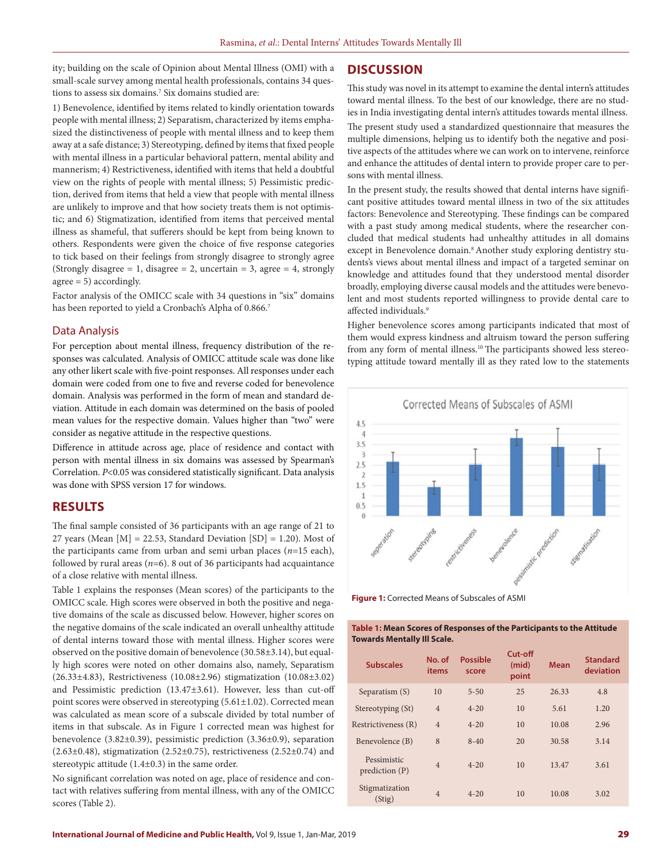ity; building on the scale of Opinion about Mental Illness (OMI) with a small-scale survey among mental health professionals, contains 34 questions to assess six domains.7 Six domains studied are:

1) Benevolence, identified by items related to kindly orientation towards people with mental illness; 2) Separatism, characterized by items emphasized the distinctiveness of people with mental illness and to keep them away at a safe distance; 3) Stereotyping, defined by items that fixed people with mental illness in a particular behavioral pattern, mental ability and mannerism; 4) Restrictiveness, identified with items that held a doubtful view on the rights of people with mental illness; 5) Pessimistic prediction, derived from items that held a view that people with mental illness are unlikely to improve and that how society treats them is not optimistic; and 6) Stigmatization, identified from items that perceived mental illness as shameful, that sufferers should be kept from being known to others. Respondents were given the choice of five response categories to tick based on their feelings from strongly disagree to strongly agree (Strongly disagree = 1, disagree = 2, uncertain = 3, agree = 4, strongly agree = 5) accordingly.

Factor analysis of the OMICC scale with 34 questions in "six" domains has been reported to yield a Cronbach's Alpha of 0.866.7

### Data Analysis

For perception about mental illness, frequency distribution of the responses was calculated. Analysis of OMICC attitude scale was done like any other likert scale with five-point responses. All responses under each domain were coded from one to five and reverse coded for benevolence domain. Analysis was performed in the form of mean and standard deviation. Attitude in each domain was determined on the basis of pooled mean values for the respective domain. Values higher than "two" were consider as negative attitude in the respective questions.

Difference in attitude across age, place of residence and contact with person with mental illness in six domains was assessed by Spearman's Correlation. *P*<0.05 was considered statistically significant. Data analysis was done with SPSS version 17 for windows.

## **RESULTS**

The final sample consisted of 36 participants with an age range of 21 to 27 years (Mean  $[M] = 22.53$ , Standard Deviation  $[SD] = 1.20$ ). Most of the participants came from urban and semi urban places (*n*=15 each), followed by rural areas  $(n=6)$ . 8 out of 36 participants had acquaintance of a close relative with mental illness.

Table 1 explains the responses (Mean scores) of the participants to the OMICC scale. High scores were observed in both the positive and negative domains of the scale as discussed below. However, higher scores on the negative domains of the scale indicated an overall unhealthy attitude of dental interns toward those with mental illness. Higher scores were observed on the positive domain of benevolence (30.58±3.14), but equally high scores were noted on other domains also, namely, Separatism (26.33±4.83), Restrictiveness (10.08±2.96) stigmatization (10.08±3.02) and Pessimistic prediction (13.47±3.61). However, less than cut-off point scores were observed in stereotyping (5.61±1.02). Corrected mean was calculated as mean score of a subscale divided by total number of items in that subscale. As in Figure 1 corrected mean was highest for benevolence (3.82±0.39), pessimistic prediction (3.36±0.9), separation ( $2.63\pm0.48$ ), stigmatization ( $2.52\pm0.75$ ), restrictiveness ( $2.52\pm0.74$ ) and stereotypic attitude (1.4±0.3) in the same order.

No significant correlation was noted on age, place of residence and contact with relatives suffering from mental illness, with any of the OMICC scores (Table 2).

## **DISCUSSION**

This study was novel in its attempt to examine the dental intern's attitudes toward mental illness. To the best of our knowledge, there are no studies in India investigating dental intern's attitudes towards mental illness.

The present study used a standardized questionnaire that measures the multiple dimensions, helping us to identify both the negative and positive aspects of the attitudes where we can work on to intervene, reinforce and enhance the attitudes of dental intern to provide proper care to persons with mental illness.

In the present study, the results showed that dental interns have significant positive attitudes toward mental illness in two of the six attitudes factors: Benevolence and Stereotyping. These findings can be compared with a past study among medical students, where the researcher concluded that medical students had unhealthy attitudes in all domains except in Benevolence domain.<sup>8</sup> Another study exploring dentistry students's views about mental illness and impact of a targeted seminar on knowledge and attitudes found that they understood mental disorder broadly, employing diverse causal models and the attitudes were benevolent and most students reported willingness to provide dental care to affected individuals.<sup>9</sup>

Higher benevolence scores among participants indicated that most of them would express kindness and altruism toward the person suffering from any form of mental illness.10 The participants showed less stereotyping attitude toward mentally ill as they rated low to the statements



**Figure 1:** Corrected Means of Subscales of ASMI

**Table 1: Mean Scores of Responses of the Participants to the Attitude Towards Mentally Ill Scale.**

| <b>Subscales</b>              | No. of<br>items | <b>Possible</b><br>score | $Cut$ -off<br>(mid)<br>point | <b>Mean</b> | <b>Standard</b><br>deviation |
|-------------------------------|-----------------|--------------------------|------------------------------|-------------|------------------------------|
| Separatism (S)                | 10              | $5 - 50$                 | 25                           | 26.33       | 4.8                          |
| Stereotyping (St)             | $\overline{4}$  | $4 - 20$                 | 10                           | 5.61        | 1.20                         |
| Restrictiveness (R)           | $\overline{4}$  | $4 - 20$                 | 10                           | 10.08       | 2.96                         |
| Benevolence (B)               | 8               | $8 - 40$                 | 20                           | 30.58       | 3.14                         |
| Pessimistic<br>prediction (P) | $\overline{4}$  | $4 - 20$                 | 10                           | 13.47       | 3.61                         |
| Stigmatization<br>(Stig)      | $\overline{4}$  | $4 - 20$                 | 10                           | 10.08       | 3.02                         |